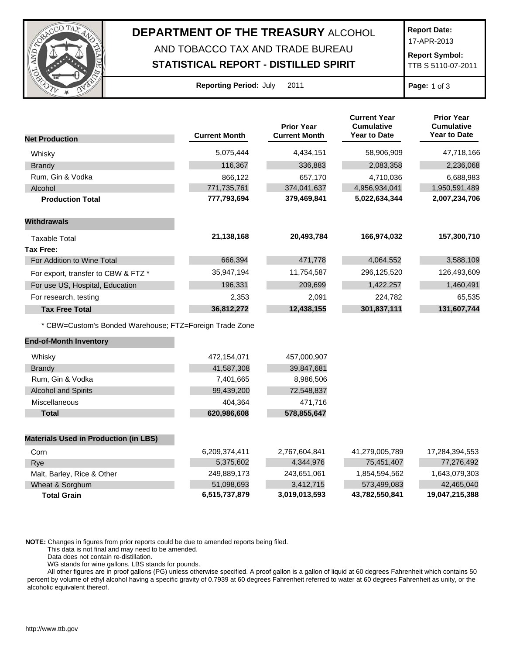

## **DEPARTMENT OF THE TREASURY** ALCOHOL

## AND TOBACCO TAX AND TRADE BUREAU

**STATISTICAL REPORT - DISTILLED SPIRIT**

**Report Date:**

17-APR-2013

**Report Symbol:** TTB S 5110-07-2011

**Reporting Period:** July 2011 **Page:** 1 of 3

|                                                         |                      | <b>Prior Year</b>    | <b>Current Year</b><br><b>Cumulative</b> | <b>Prior Year</b><br><b>Cumulative</b> |
|---------------------------------------------------------|----------------------|----------------------|------------------------------------------|----------------------------------------|
| <b>Net Production</b>                                   | <b>Current Month</b> | <b>Current Month</b> | <b>Year to Date</b>                      | <b>Year to Date</b>                    |
| Whisky                                                  | 5,075,444            | 4,434,151            | 58,906,909                               | 47,718,166                             |
| <b>Brandy</b>                                           | 116,367              | 336,883              | 2,083,358                                | 2,236,068                              |
| Rum, Gin & Vodka                                        | 866,122              | 657,170              | 4,710,036                                | 6,688,983                              |
| Alcohol                                                 | 771,735,761          | 374,041,637          | 4,956,934,041                            | 1,950,591,489                          |
| <b>Production Total</b>                                 | 777,793,694          | 379,469,841          | 5,022,634,344                            | 2,007,234,706                          |
| <b>Withdrawals</b>                                      |                      |                      |                                          |                                        |
| <b>Taxable Total</b>                                    | 21,138,168           | 20,493,784           | 166,974,032                              | 157,300,710                            |
| <b>Tax Free:</b>                                        |                      |                      |                                          |                                        |
| For Addition to Wine Total                              | 666,394              | 471,778              | 4,064,552                                | 3,588,109                              |
| For export, transfer to CBW & FTZ *                     | 35,947,194           | 11,754,587           | 296,125,520                              | 126,493,609                            |
| For use US, Hospital, Education                         | 196,331              | 209,699              | 1,422,257                                | 1,460,491                              |
| For research, testing                                   | 2,353                | 2,091                | 224,782                                  | 65,535                                 |
| <b>Tax Free Total</b>                                   | 36,812,272           | 12,438,155           | 301,837,111                              | 131,607,744                            |
| * CBW=Custom's Bonded Warehouse; FTZ=Foreign Trade Zone |                      |                      |                                          |                                        |
| <b>End-of-Month Inventory</b>                           |                      |                      |                                          |                                        |
| Whisky                                                  | 472,154,071          | 457,000,907          |                                          |                                        |
| <b>Brandy</b>                                           | 41,587,308           | 39,847,681           |                                          |                                        |
| Rum, Gin & Vodka                                        | 7,401,665            | 8,986,506            |                                          |                                        |
| <b>Alcohol and Spirits</b>                              | 99,439,200           | 72,548,837           |                                          |                                        |
| Miscellaneous                                           | 404,364              | 471,716              |                                          |                                        |
| <b>Total</b>                                            | 620,986,608          | 578,855,647          |                                          |                                        |
| <b>Materials Used in Production (in LBS)</b>            |                      |                      |                                          |                                        |
| Corn                                                    | 6,209,374,411        | 2,767,604,841        | 41,279,005,789                           | 17,284,394,553                         |
| Rye                                                     | 5,375,602            | 4,344,976            | 75,451,407                               | 77,276,492                             |
| Malt, Barley, Rice & Other                              | 249,889,173          | 243,651,061          | 1,854,594,562                            | 1,643,079,303                          |
| Wheat & Sorghum                                         | 51,098,693           | 3,412,715            | 573,499,083                              | 42,465,040                             |
| <b>Total Grain</b>                                      | 6,515,737,879        | 3,019,013,593        | 43,782,550,841                           | 19,047,215,388                         |

**NOTE:** Changes in figures from prior reports could be due to amended reports being filed.

This data is not final and may need to be amended.

Data does not contain re-distillation.

WG stands for wine gallons. LBS stands for pounds.

All other figures are in proof gallons (PG) unless otherwise specified. A proof gallon is a gallon of liquid at 60 degrees Fahrenheit which contains 50 percent by volume of ethyl alcohol having a specific gravity of 0.7939 at 60 degrees Fahrenheit referred to water at 60 degrees Fahrenheit as unity, or the alcoholic equivalent thereof.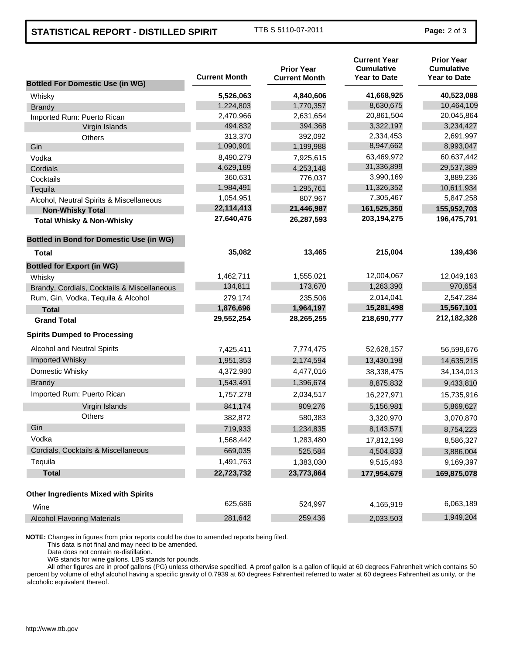## **STATISTICAL REPORT - DISTILLED SPIRIT** TTB S 5110-07-2011 **Page:** 2 of 3

| <b>Bottled For Domestic Use (in WG)</b>         | <b>Current Month</b> | <b>Prior Year</b><br><b>Current Month</b> | <b>Current Year</b><br><b>Cumulative</b><br><b>Year to Date</b> | <b>Prior Year</b><br><b>Cumulative</b><br><b>Year to Date</b> |
|-------------------------------------------------|----------------------|-------------------------------------------|-----------------------------------------------------------------|---------------------------------------------------------------|
| Whisky                                          | 5,526,063            | 4,840,606                                 | 41,668,925                                                      | 40,523,088                                                    |
| <b>Brandy</b>                                   | 1,224,803            | 1,770,357                                 | 8,630,675                                                       | 10,464,109                                                    |
| Imported Rum: Puerto Rican                      | 2,470,966            | 2,631,654                                 | 20,861,504                                                      | 20,045,864                                                    |
| Virgin Islands                                  | 494,832              | 394,368                                   | 3,322,197                                                       | 3,234,427                                                     |
| Others                                          | 313,370              | 392,092                                   | 2,334,453                                                       | 2,691,997                                                     |
| Gin                                             | 1,090,901            | 1,199,988                                 | 8,947,662                                                       | 8,993,047                                                     |
| Vodka                                           | 8,490,279            | 7,925,615                                 | 63,469,972                                                      | 60,637,442                                                    |
| Cordials                                        | 4,629,189            | 4,253,148                                 | 31,336,899                                                      | 29,537,389                                                    |
| Cocktails                                       | 360,631              | 776,037                                   | 3,990,169                                                       | 3,889,236                                                     |
| Tequila                                         | 1,984,491            | 1,295,761                                 | 11,326,352                                                      | 10,611,934                                                    |
| Alcohol, Neutral Spirits & Miscellaneous        | 1,054,951            | 807,967                                   | 7,305,467                                                       | 5,847,258                                                     |
| <b>Non-Whisky Total</b>                         | 22,114,413           | 21,446,987                                | 161,525,350                                                     | 155,952,703                                                   |
| <b>Total Whisky &amp; Non-Whisky</b>            | 27,640,476           | 26,287,593                                | 203, 194, 275                                                   | 196,475,791                                                   |
| <b>Bottled in Bond for Domestic Use (in WG)</b> |                      |                                           |                                                                 |                                                               |
| Total                                           | 35,082               | 13,465                                    | 215,004                                                         | 139,436                                                       |
| <b>Bottled for Export (in WG)</b>               |                      |                                           |                                                                 |                                                               |
| Whisky                                          | 1,462,711            | 1,555,021                                 | 12,004,067                                                      | 12,049,163                                                    |
| Brandy, Cordials, Cocktails & Miscellaneous     | 134,811              | 173,670                                   | 1,263,390                                                       | 970,654                                                       |
| Rum, Gin, Vodka, Tequila & Alcohol              | 279,174              | 235,506                                   | 2,014,041                                                       | 2,547,284                                                     |
| <b>Total</b>                                    | 1,876,696            | 1,964,197                                 | 15,281,498                                                      | 15,567,101                                                    |
| <b>Grand Total</b>                              | 29,552,254           | 28,265,255                                | 218,690,777                                                     | 212,182,328                                                   |
| <b>Spirits Dumped to Processing</b>             |                      |                                           |                                                                 |                                                               |
| Alcohol and Neutral Spirits                     | 7,425,411            | 7,774,475                                 | 52,628,157                                                      | 56,599,676                                                    |
| Imported Whisky                                 | 1,951,353            | 2,174,594                                 | 13,430,198                                                      | 14,635,215                                                    |
| Domestic Whisky                                 | 4,372,980            | 4,477,016                                 | 38,338,475                                                      | 34,134,013                                                    |
| <b>Brandy</b>                                   | 1,543,491            | 1,396,674                                 | 8,875,832                                                       | 9,433,810                                                     |
| Imported Rum: Puerto Rican                      | 1,757,278            | 2,034,517                                 | 16,227,971                                                      | 15,735,916                                                    |
| Virgin Islands                                  | 841,174              | 909,276                                   | 5,156,981                                                       | 5,869,627                                                     |
| <b>Others</b>                                   | 382,872              | 580,383                                   | 3,320,970                                                       | 3,070,870                                                     |
| Gin                                             | 719,933              | 1,234,835                                 | 8,143,571                                                       | 8,754,223                                                     |
| Vodka                                           | 1,568,442            | 1,283,480                                 | 17,812,198                                                      | 8,586,327                                                     |
| Cordials, Cocktails & Miscellaneous             | 669,035              | 525,584                                   | 4,504,833                                                       | 3,886,004                                                     |
| Tequila                                         | 1,491,763            | 1,383,030                                 | 9,515,493                                                       | 9,169,397                                                     |
| <b>Total</b>                                    | 22,723,732           | 23,773,864                                | 177,954,679                                                     | 169,875,078                                                   |
| <b>Other Ingredients Mixed with Spirits</b>     |                      |                                           |                                                                 |                                                               |
| Wine                                            | 625,686              | 524,997                                   | 4,165,919                                                       | 6,063,189                                                     |
| <b>Alcohol Flavoring Materials</b>              | 281,642              | 259,436                                   | 2,033,503                                                       | 1,949,204                                                     |

**NOTE:** Changes in figures from prior reports could be due to amended reports being filed.

This data is not final and may need to be amended.

Data does not contain re-distillation.

WG stands for wine gallons. LBS stands for pounds.

All other figures are in proof gallons (PG) unless otherwise specified. A proof gallon is a gallon of liquid at 60 degrees Fahrenheit which contains 50 percent by volume of ethyl alcohol having a specific gravity of 0.7939 at 60 degrees Fahrenheit referred to water at 60 degrees Fahrenheit as unity, or the alcoholic equivalent thereof.